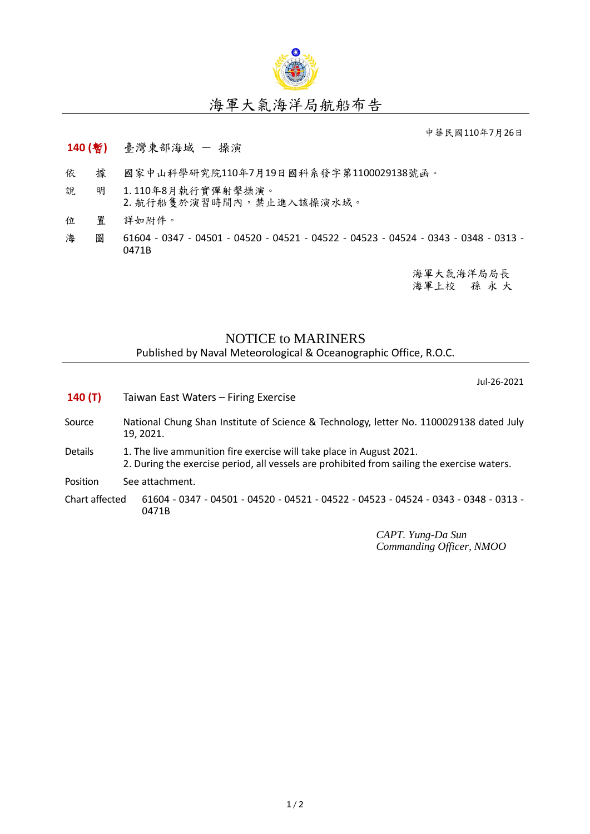

## 海軍大氣海洋局航船布告

中華民國110年7月26日

## **140 (**暫**)** 臺灣東部海域 - 操演

- 依 據 國家中山科學研究院110年7月19日國科系發字第1100029138號函。
- 說 明 1. 110年8月執行實彈射擊操演。 2. 航行船隻於演習時間內,禁止進入該操演水域。
- 位 置 詳如附件。
- 海 圖 61604 0347 04501 04520 04521 04522 04523 04524 0343 0348 0313 -0471B

海軍大氣海洋局局長 海軍上校 孫 永 大

## NOTICE to MARINERS

Published by Naval Meteorological & Oceanographic Office, R.O.C.

Jul-26-2021

| 140(T)         |  | Taiwan East Waters - Firing Exercise                                                                                                                                |  |  |
|----------------|--|---------------------------------------------------------------------------------------------------------------------------------------------------------------------|--|--|
| Source         |  | National Chung Shan Institute of Science & Technology, letter No. 1100029138 dated July<br>19, 2021.                                                                |  |  |
| <b>Details</b> |  | 1. The live ammunition fire exercise will take place in August 2021.<br>2. During the exercise period, all vessels are prohibited from sailing the exercise waters. |  |  |
| Position       |  | See attachment.                                                                                                                                                     |  |  |
| Chart affected |  | 61604 - 0347 - 04501 - 04520 - 04521 - 04522 - 04523 - 04524 - 0343 - 0348 - 0313 -<br>0471B                                                                        |  |  |
|                |  | $\triangle$ PT $V$ ung, Da Sun                                                                                                                                      |  |  |

*CAPT. Yung-Da Sun Commanding Officer, NMOO*